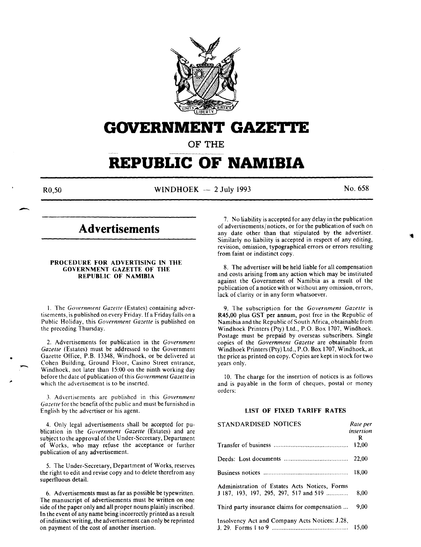

# **GOVERNMENT GAZETTE**

**OF THE** 

# **REPUBLIC OF NAMIBIA**

-

 $R0,50$  WINDHOEK - 2 July 1993 No. 658

# **Advertisements**

# PROCEDURE FOR ADVERTISING IN THE GOVERNMENT GAZETTE OF THE REPUBLIC OF NAMIBIA

I. The *Government Gazette* (Estates) containing advertisements, is published on every Friday. If a Friday falls on a Public Holiday, this *Government Gazette* is published on the preceding Thursday.

2. Advertisements for publication in the *Government Gazette* (Estates) must be addressed to the Government Gazette Office, P.B. 13348, Windhoek, or be delivered at Cohen Building, Ground Floor, Casino Street entrance, Windhoek, not later than 15:00 on the ninth working day before the date of publication of this *Government Gazette* in which the advertisement is to be inserted.

3. Advertisements are published in this *Government Gazette* for the benefit of the public and must be furnished in English by the advertiser or his agent.

4. Only legal advertisements shall be accepted for publication in the *Government Gazette* (Estates) and are subject to the approval of the Under-Secretary, Department of Works, who may refuse the acceptance or further publication of any advertisement.

5. The Under-Secretary, Department of Works, reserves the right to edit and revise copy and to delete therefrom any superfluous detail.

6. Advertisements must as far as possible be typewritten. The manuscript of advertisements must be written on one side of the paper only and all proper nouns plainly inscribed. In the event of any name being incorrectly printed as a result of indistinct writing, the advertisement can only be reprinted on payment of the cost of another insertion.

7. No liability is accepted for any delay in the publication of advertisements/ notices, or for the publication of such on any date other than that stipulated by the advertiser. Similarly no liability is accepted in respect of any editing, revision, omission, typographical errors or errors resulting from faint or indistinct copy.

8. The advertiser will be held liable for all compensation and costs arising from any action which may be instituted against the Government of Namibia as a result of the publication of a notice with or without any omission, errors, lack of clarity or in any form whatsoever.

9. The subscription for the *Government Gazette* is R45,00 plus GST per annum, post free in the Republic of Namibia and the Republic of South Africa, obtainable from Windhoek Printers (Pty) Ltd., P.O. Box 1707, Windhoek. Postage must be prepaid by overseas subscribers. Single copies of the *Government Gazette* are obtainable from Windhoek Printers (Pty) Ltd., P.O. Box 1707, Windhoek, at the price as printed on copy. Copies are kept in stock for two years only.

10. The charge for the insertion of notices is as follows and is payable in the form of cheques, postal or money orders:

# LIST OF FIXED TARIFF RATES

| STANDARDISED NOTICES                           | Rate per       |  |
|------------------------------------------------|----------------|--|
|                                                | insertion<br>R |  |
|                                                | 12.00          |  |
|                                                | 22.00          |  |
|                                                | 18.00          |  |
| Administration of Estates Acts Notices, Forms  |                |  |
| J 187, 193, 197, 295, 297, 517 and 519         | 8.00           |  |
| Third party insurance claims for compensation  | 9.00           |  |
| Insolvency Act and Company Acts Notices: J.28, | 15.00          |  |
|                                                |                |  |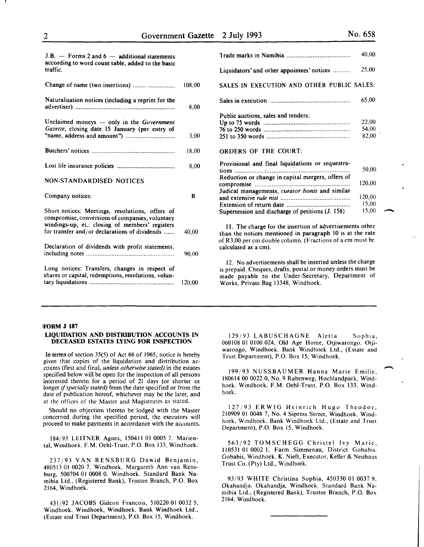-

| J.B. $-$ Forms 2 and 6 $-$ additional statements<br>according to word count table, added to the basic<br>traffic.                                                                                      |        |
|--------------------------------------------------------------------------------------------------------------------------------------------------------------------------------------------------------|--------|
| Change of name (two insertions)                                                                                                                                                                        | 108.00 |
| Naturalisation notices (including a reprint for the                                                                                                                                                    | 8,00   |
| Unclaimed moneys - only in the Government<br>Gazette, closing date 15 January (per entry of                                                                                                            | 3,00   |
|                                                                                                                                                                                                        | 18.00  |
|                                                                                                                                                                                                        | 8,00   |
| NON-STANDARDISED NOTICES                                                                                                                                                                               |        |
| Company notices:                                                                                                                                                                                       | R      |
| Short notices: Meetings, resolutions, offers of<br>compromise, conversions of companies, voluntary<br>windings-up, et.: closing of members' registers<br>for transfer and/or declarations of dividends | 40.00  |
| Declaration of dividends with profit statements,                                                                                                                                                       | 90.00  |
| Long notices: Transfers, changes in respect of<br>shares or capital, redemptions, resolutions, volun-                                                                                                  | 120,00 |

|                                                   | 40,00  |
|---------------------------------------------------|--------|
| Liquidators' and other appointees' notices        | 25,00  |
| SALES IN EXECUTION AND OTHER PUBLIC SALES:        |        |
|                                                   | 65,00  |
| Public auctions, sales and tenders:               |        |
|                                                   | 22,00  |
|                                                   | 54,00  |
|                                                   | 82,00  |
| <b>ORDERS OF THE COURT:</b>                       |        |
| Provisional and final liquidations or sequestra-  |        |
|                                                   | 50,00  |
| Reduction or change in capital mergers, offers of |        |
|                                                   | 120,00 |
| Judical managements, curator bonis and similar    |        |
|                                                   | 120,00 |
|                                                   | 15,00  |
| Supersession and discharge of petitions (J. 158)  | 15,00  |

II. The charge for the insertion of advertisements other than the notices mentioned in paragraph 10 is at the rate of R3,00 per em double column. (Fractions of a em must be calculated as a em).

12. No advertisements shall be inserted unless the charge is prepaid. Cheques, drafts, postal or money orders must be made payable to the Under-Secretary, Department of Works, Private Bag 13348, Windhoek.

### !FORM J 187

#### LIQUIDATION AND DISTRIBUTION ACCOUNTS IN DECEASED ESTATES LYING FOR INSPECTION

In terms of section 35(5) of Act 66 of 1965, notice is hereby given that copies of the liquidation and distribution accounts (first and final, *unless otherwise stated)* in the estates specified below will be open for the inspection of all persons interested therein for a period of 21 days (or shorter or longer if *specially stated)* from the date specified or from the date of publication hereof, whichever may be the later, and at the offices of the Master and Magistrates as stated.

Should no objection thereto be lodged with the Master concerned during the specified period, the executors will proceed to make payments in accordance with the accounts.

184/93 LEITNER Agnes, 150411 01 0005 7. Mariental, Windhoek. F.M. Oehl-Trust, P.O. Box 133, Windhoek.

237/93 VAN RENSBURG Dawid Benjamin, 480513 01 0020 7, Windhoek. Margareth Ann van Rensburg, 500704 01 0008 0. Windhoek. Standard Bank Namibia Ltd., (Registered Bank), Trustee Branch, P.O. Box 2164, Windhoek.

431/92 JACOBS Gideon Francois, 510220 01 0032 5, Windhoek. Windhoek, Windhoek. Bank Windhoek Ltd., (Estate and Trust Department), P.O. Box 15, Windhoek.

129/93 LABUSCHAGNE Aletta Sophia, 060108 01 0100 024, Old Age Home, Otjiwarongo. Otjiwarongo, Windhoek. Bank Windhoek Ltd., (Estate and Trust Department), P.O. Box 15, Windhoek.

199/93 NUSSBAUMER Hanna Marie Emilie, 180614 00 0022 0, No.9 Rabenweg, Hochlandpark, Windhoek. Windhoek. F.M. Oehl-Trust, P.O. Box 133, Windhoek.

127/93 ERWIG Heinrich Hugo Theodor, 210909 01 0048 7, No.4 Sipress Street, Windhoek. Windhoek, Windhoek. Bank Windhoek Ltd., (Estate and Trust Department), P.O. Box 15, Windhoek.

563/92 TOMSCHEGG Christel Ivy Marie, 110531 01 0002 I, Farm Simmenau, District Gobabis. Gobabis, Windhoek. K. Nieft, Executor, Keller & Neuhaus Trust Co. (Pty) Ltd., Windhoek.

93/93 WHITE Christina Sophia, 450330 01 0037 9, Okahandja. Okahandja, Windhoek. Standard Bank Namibia Ltd., (Registered Bank), Trustee Branch, P.O. Box 2164, Windhoek.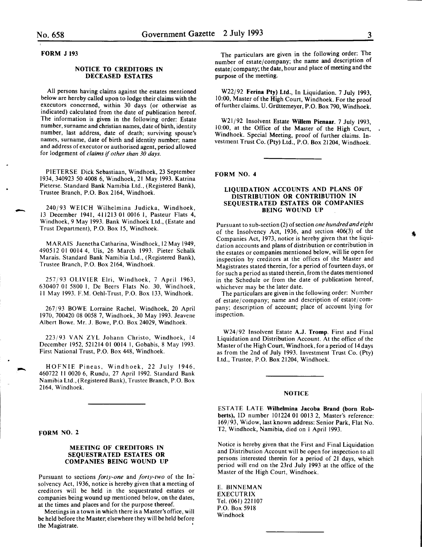-

-

#### FORM J 193

### NOTICE TO CREDITORS IN DECEASED ESTATES

All persons having claims against the estates mentioned below are hereby called upon to lodge their claims with the executors concerned, within 30 days (or otherwise as indicated) calculated from the date of publication hereof. The information is given in the following order: Estate number, surname and christian names, date of birth, identity number, last address, date of death; surviving spouse's names, surname, date of birth and identity number; name and address of executor or authorised agent, period allowed for lodgement of *claims* if *other than 30 days.* 

PIETERSE Dick Sebastiaan, Windhoek, 23 September 1934, 340923 50 4008 6, Windhoek, 21 May 1993. Katrina Pieterse. Standard Bank Namibia Ltd., (Registered Bank), Trustee Branch, P.O. Box 2164, Windhoek.

240/93 WEICH Wilhelmina Judicka, Windhoek, 13 December 1941, 411213 01 0016 I, Pasteur Flats 4, Windhoek, 9 May 1993. Bank Windhoek Ltd., (Estate and Trust Department), P.O. Box 15, Windhoek.

MARAIS JaenethaCatharina, Windhoek, 12 May 1949, 490512 01 0014 4, Uis, 26 March 1993. Pieter Schalk Marais. Standard Bank Namibia Ltd., (Registered Bank), Trustee Branch, P.O. Box 2164, Windhoek.

257/93 OLIVIER Elri, Windhoek, 7 April 1963, 630407 01 5800 I, De Beers Flats No. 30, Windhoek, II May 1993. F.M. Oehl-Trust, P.O. Box 133, Windhoek.

267/93 BOWE Lorraine Rachel, Windhoek, 20 April 1970, 700420 08 0058 7, Windhoek, 30 May 1993. Jeavene Albert Bowe. Mr. J. Bowe, P.O. Box 24029, Windhoek.

223/93 VAN ZYL Johann Christo, Windhoek, 14 December 1952, 521214 01 0014 I, Gobabis, 8 May 1993. First National Trust, P.O. Box 448, Windhoek.

HOFNIE Pineas, Windhoek, 22 July 1946, 460722 II 0020 6, Rundu, 27 April 1992. Standard Bank Namibia Ltd., (Registered Bank), Trustee Branch, P.O. Box 2164, Windhoek.

#### FORM NO. 2

## MEETING OF CREDITORS IN SEQUESTRATED ESTATES OR COMPANIES BEING WOUND UP

Pursuant to sections *forty-one* and *forty-two* of the Insolvency Act, 1936, notice is hereby given that a meeting of creditors will be held in the sequestrated estates or companies being wound up mentioned below, on the dates, at the times and places and for the purpose thereof.

Meetings in a town in which there is a Master's office, will be held before the Master; elsewhere they will be held before the Magistrate.

The particulars are given in the following order: The number of estate/company; the name and description of estate/company; the date, hour and place of meeting and the purpose of the meeting.

W22/92 Ferina Pty) Ltd., In Liquidation. 7 July 1993, 10:00, Master of the High Court, Windhoek. For the proof of further claims. U. Griittemeyer, P.O. Box 790, Windhoek.

W21/92 Insolvent Estate Willem Pienaar. 7 July 1993. 10:00, at the Office of the Master of the High Court, Windhoek. Special Meeting, proof of further claims. Investment Trust Co. (Pty) Ltd., P.O. Box 21204, Windhoek.

# FORM NO.4

### LIQUIDATION ACCOUNTS AND PLANS OF DISTRIBUTION OR CONTRIBUTION IN SEQUESTRATED ESTATES OR COMPANIES BEING WOUND UP

Pursuant to sub-section (2) of section *one hundred and eight*  of the Insolvency Act, 1936, and section 406(3) of the Companies Act, 1973, notice is hereby given that the liquidation accounts and plans of distribution or contribution in the estates or companies mentioned below, will lie open for inspection by creditors at the offices of the Master and Magistrates stated therein, for a period of fourteen days, or for such a period as stated therein, from the dates mentioned in the Schedule or from the date of publication hereof, whichever may be the later date.

The particulars are given in the following order: Number of estate/company; name and description of estate/company; description of account; place of account lying for inspection.

W24/92 Insolvent Estate A.J. Tromp. First and Final Liquidation and Distribution Account. At the office of the Master of the High Court, Windhoek, for a period of 14 days as from the 2nd of July 1993. Investment Trust Co. (Pty) Ltd., Trustee, P.O. Box 21204, Windhoek.

#### NOTICE

ESTATE LATE Wilhelmina Jacoba Brand (born Robberts), ID number 101224 01 0013 2, Master's reference: 169/93, Widow, last known address: Senior Park, Flat No. T2, Windhoek, Namibia, died on I April 1993.

Notice is hereby given that the First and Final Liquidation and Distribution Account will be open for inspection to all persons interested therein for a period of 21 days, which period will end on the 23rd July 1993 at the office of the Master of the High Court, Windhoek.

E. BINNEMAN EXECUTRIX Tel. (061) 221107 P.O. Box 5918 Windhoek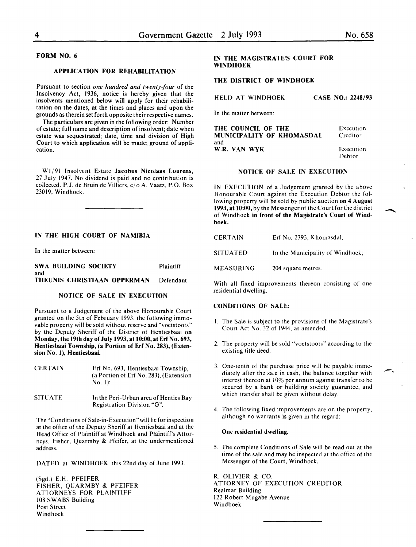# FORM NO. 6

# APPLICATION FOR REHABILITATION

Pursuant to section *one hundred and twenty-four* of the Insolvency Act, 1936, notice is hereby given that the insolvents mentioned below will apply for their rehabilitation on the dates, at the times and places and upon the grounds as therein set forth opposite their respective names.

The particulars are given in the following order: Number of estate; full name and description of insolvent; date when estate was sequestrated; date, time and division of High Court to which application will be made; ground of application.

W1/91 Insolvent Estate Jacobus Nicolaas Lourens, 27 July 1947. No dividend is paid and no contribution is collected. P.J. de Bruin de Villiers, c/o A. Vaatz, P.O. Box 23019, Windhoek.

# IN THE HIGH COURT OF NAMIBIA

In the matter between:

SWA BUILDING SOCIETY Plaintiff and THEUNIS CHRISTIAAN OPPERMAN Defendant

#### NOTICE OF SALE IN EXECUTION

Pursuant to a Judgement of the above Honourable Court granted on the 5th of February 1993, the following immovable property will be sold without reserve and "voetstoots" by the Deputy Sheriff of the District of Hentiesbaai on Monday, the 19th day of July 1993, at 10:00, at Erf No. 693, Hentiesbaai Township, (a Portion of Erf No. 283), (Extension No. 1), Hentiesbaai.

| <b>CERTAIN</b> | Erf No. 693, Hentiesbaai Township,<br>(a Portion of Erf No. 283), (Extension<br>No. 1): |
|----------------|-----------------------------------------------------------------------------------------|
| SITUATE        | In the Peri-Urban area of Henties Bay                                                   |

Registration Division "G".

The "Conditions of Sale-in-Execution" will lie for inspection at the office of the Deputy Sheriff at Hentiesbaai and at the Head Office of Plaintiff at Windhoek and Plaintiff's Attorneys, Fisher, Quarmby & Pfeifer, at the undermentioned address.

DATED at WINDHOEK this 22nd day of June 1993.

(Sgd.) E.H. PFEIFER FISHER, QUARMBY & PFEIFER ATTORNEYS FOR PLAINTIFF 108 SWABS Building Post Street Windhoek

# IN THE MAGISTRATE'S COURT FOR WINDHOEK

# THE DISTRICT OF WINDHOEK

HELD AT WINDHOEK CASE NO.: 2248/93

In the matter between:

| THE COUNCIL OF THE        | Execution |
|---------------------------|-----------|
| MUNICIPALITY OF KHOMASDAL | Creditor  |
| and                       | Execution |
| W.R. VAN WYK              | Debtor    |

#### NOTICE OF SALE IN EXECUTION

IN EXECUTION of a Judgement granted by the above Honourable Court against the Execution Debtor the following property will be sold by public auction on 4 August 1993, at 10:00, by the Messenger of the Court for the district of Windhoek in front of the Magistrate's Court of Windhoek.

| <b>CERTAIN</b> |  | Erf No. 2393, Khomasdal; |  |
|----------------|--|--------------------------|--|
|                |  |                          |  |

SITUATED In the Municipality of Windhoek;

MEASURING 204 square metres.

With all fixed improvements thereon consisting of one residential dwelling.

#### CONDITIONS OF SALE:

- I. The Sale is subject to the provisions of the Magistrate's Court Act No. 32 of 1944, as amended.
- 2. The property will be sold "voetstoots" according to the existing title deed.
- 3. One-tenth of the purchase price will be payable immediately after the sale in cash, the balance together with interest thereon at 10% per annum against transfer to be secured by a bank or building society guarantee, and which transfer shall be given without delay.
- 4. The following fixed improvements are on the property, although no warranty is given in the regard:

#### One residential dwelling.

5. The complete Conditions of Sale will be read out at the time of the sale and may be inspected at the office of the Messenger of the Court, Windhoek.

R. OLIVIER & CO. ATTORNEY OF EXECUTION CREDITOR Realmar Building 122 Robert Mugabe Avenue Windhoek